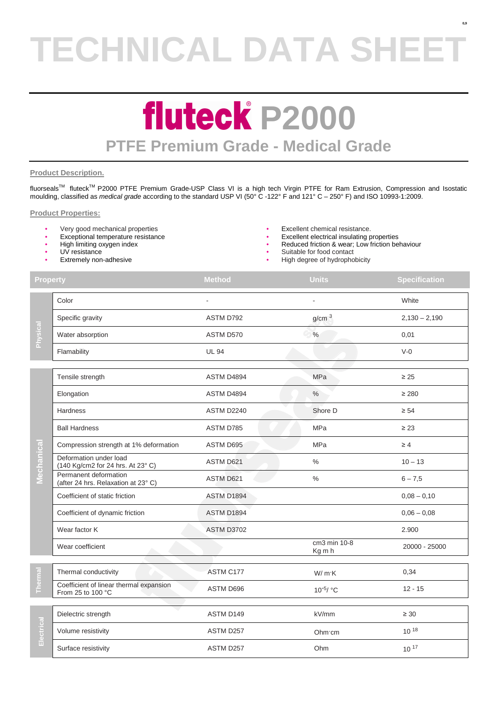# **TECHNICAL DATA SHEET**

# **fluteck P2000 PTFE Premium Grade - Medical Grade**

# **Product Description.**

fluorsealsTM fluteckTM P2000 PTFE Premium Grade-USP Class VI is a high tech Virgin PTFE for Ram Extrusion, Compression and Isostatic moulding, classified as *medical grade* according to the standard USP VI (50° C -122° F and 121° C – 250° F) and ISO 10993-1:2009.

### **Product Properties:**

- Very good mechanical properties Excellent chemical resistance.
- 
- High limiting oxygen index
- UV resistance
- **Extremely non-adhesive**
- 
- Excellent electrical insulating properties
- Reduced friction & wear; Low friction behaviour
- Suitable for food contact
- High degree of hydrophobicity

| <b>Property</b> |                                                              | <b>Method</b>     | <b>Units</b>           | <b>Specification</b> |
|-----------------|--------------------------------------------------------------|-------------------|------------------------|----------------------|
| Physical        | Color                                                        |                   |                        | White                |
|                 | Specific gravity                                             | ASTM D792         | g/cm <sup>3</sup>      | $2,130 - 2,190$      |
|                 | Water absorption                                             | ASTM D570         | $\%$                   | 0,01                 |
|                 | Flamability                                                  | <b>UL 94</b>      |                        | $V-0$                |
| Mechanica       | Tensile strength                                             | ASTM D4894        | <b>MPa</b>             | $\geq 25$            |
|                 | Elongation                                                   | ASTM D4894        | $\%$                   | $\geq 280$           |
|                 | Hardness                                                     | ASTM D2240        | Shore D                | $\geq 54$            |
|                 | <b>Ball Hardness</b>                                         | ASTM D785         | MPa                    | $\geq 23$            |
|                 | Compression strength at 1% deformation                       | ASTM D695         | MPa                    | $\geq 4$             |
|                 | Deformation under load<br>(140 Kg/cm2 for 24 hrs. At 23° C)  | ASTM D621         | $\%$                   | $10 - 13$            |
|                 | Permanent deformation<br>(after 24 hrs. Relaxation at 23° C) | ASTM D621         | $\%$                   | $6 - 7.5$            |
|                 | Coefficient of static friction                               | ASTM D1894        |                        | $0,08 - 0,10$        |
|                 | Coefficient of dynamic friction                              | ASTM D1894        |                        | $0,06 - 0,08$        |
|                 | Wear factor K                                                | <b>ASTM D3702</b> |                        | 2.900                |
|                 | Wear coefficient                                             |                   | cm3 min 10-8<br>Kg m h | 20000 - 25000        |
| Thermal         | Thermal conductivity                                         | ASTM C177         | W/mK                   | 0,34                 |
|                 | Coefficient of linear thermal expansion<br>From 25 to 100 °C | ASTM D696         | $10^{-5}$ / °C         | $12 - 15$            |
| Electrical      | Dielectric strength                                          | ASTM D149         | kV/mm                  | $\geq 30$            |
|                 | Volume resistivity                                           | ASTM D257         | Ohm cm                 | $10^{18}$            |
|                 | Surface resistivity                                          | ASTM D257         | Ohm                    | $10^{17}$            |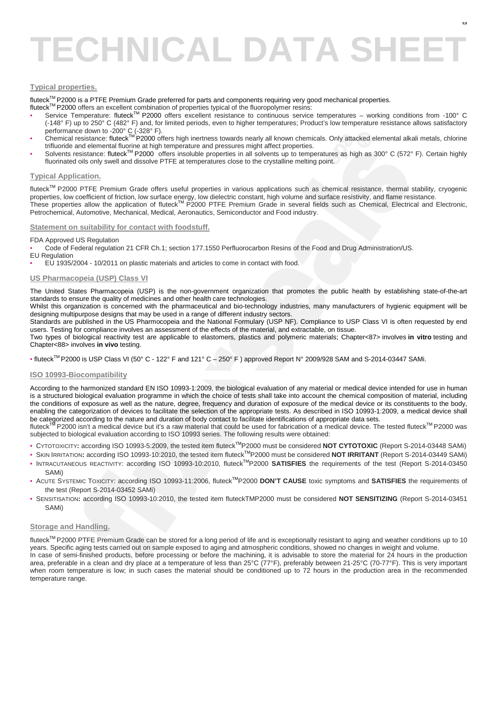# **TECHNICAL DATA SHEET**

# **Typical properties.**

fluteck<sup>™</sup> P2000 is a PTFE Premium Grade preferred for parts and components requiring very good mechanical properties.

- fluteck<sup>TM</sup> P2000 offers an excellent combination of properties typical of the fluoropolymer resins:
- Service Temperature: fluteckTM P2000 offers excellent resistance to continuous service temperatures working conditions from -100° C (-148° F) up to 250° C (482° F) and, for limited periods, even to higher temperatures; Product's low temperature resistance allows satisfactory performance down to -200° C (-328° F).<br>• Chemical resistance: fluteck™ P2000 offers high inertness towards nearly all known chemicals. Only attacked elemental alkali metals, chlorine
- 
- trifluoride and elemental fluorine at high temperature and pressures might affect properties.<br>Solvents resistance: fluteck<sup>™</sup> P2000 offers insoluble properties in all solvents up to temperatures as high as 300° C (572° F) fluorinated oils only swell and dissolve PTFE at temperatures close to the crystalline melting point.

#### **Typical Application.**

fluteck™ P2000 PTFE Premium Grade offers useful properties in various applications such as chemical resistance, thermal stability, cryogenic properties, low coefficient of friction, low surface energy, low dielectric constant, high volume and surface resistivity, and flame resistance. These properties allow the application of fluteck™ P2000 PTFE Premium Grade in several fields such as Chemical, Electrical and Electronic, Petrochemical, Automotive, Mechanical, Medical, Aeronautics, Semiconductor and Food industry.

#### **Statement on suitability for contact with foodstuff.**

FDA Approved US Regulation

• Code of Federal regulation 21 CFR Ch.1; section 177.1550 Perfluorocarbon Resins of the Food and Drug Administration/US. EU Regulation

• EU 1935/2004 - 10/2011 on plastic materials and articles to come in contact with food.

#### **US Pharmacopeia (USP) Class VI**

The United States Pharmacopeia (USP) is the non-government organization that promotes the public health by establishing state-of-the-art standards to ensure the quality of medicines and other health care technologies.

Whilst this organization is concerned with the pharmaceutical and bio-technology industries, many manufacturers of hygienic equipment will be designing multipurpose designs that may be used in a range of different industry sectors.

Standards are published in the US Pharmocopeia and the National Formulary (USP NF). Compliance to USP Class VI is often requested by end users. Testing for compliance involves an assessment of the effects of the material, and extractable, on tissue.

Two types of biological reactivity test are applicable to elastomers, plastics and polymeric materials; Chapter<87> involves **in vitro** testing and Chapter<88> involves **in vivo** testing.

• fluteck<sup>™</sup> P2000 is USP Class VI (50° C - 122° F and 121° C – 250° F) approved Report N° 2009/928 SAM and S-2014-03447 SAMi.

### **ISO 10993-Biocompatibility**

resistance Italiae"<sup>1</sup>P2000 of then high menters towards nearly all location chemicals. Only studed elemental at<br>the menter Information of the high menters towards nearly all locations and the menters and the measurements According to the harmonized standard EN ISO 10993-1:2009, the biological evaluation of any material or medical device intended for use in human is a structured biological evaluation programme in which the choice of tests shall take into account the chemical composition of material, including the conditions of exposure as well as the nature, degree, frequency and duration of exposure of the medical device or its constituents to the body, enabling the categorization of devices to facilitate the selection of the appropriate tests. As described in ISO 10993-1:2009, a medical device shall be categorized according to the nature and duration of body contact to facilitate identifications of appropriate data sets.<br>fluteck™ P2000 isn't a medical device but it's a raw material that could be used for fabrication

subjected to biological evaluation according to ISO 10993 series. The following results were obtained:

- CYTOTOXICITY**:** according ISO 10993-5:2009, the tested item fluteck TMP2000 must be considered **NOT CYTOTOXIC** (Report S-2014-03448 SAMi)
- SKIN IRRITATION**:** according ISO 10993-10:2010, the tested item fluteckTMP2000 must be considered **NOT IRRITANT** (Report S-2014-03449 SAMi)
- INTRACUTANEOUS REACTIVITY: according ISO 10993-10:2010, fluteck<sup>TM</sup>P2000 **SATISFIES** the requirements of the test (Report S-2014-03450 SAMi)
- ACUTE SYSTEMIC TOXICITY: according ISO 10993-11:2006, fluteck<sup>TM</sup>P2000 DON'T CAUSE toxic symptoms and SATISFIES the requirements of the test (Report S-2014-03452 SAMi)
- SENSITISATION**:** according ISO 10993-10:2010, the tested item fluteckTMP2000 must be considered **NOT SENSITIZING** (Report S-2014-03451 SAMi)

### **Storage and Handling.**

fluteck™ P2000 PTFE Premium Grade can be stored for a long period of life and is exceptionally resistant to aging and weather conditions up to 10 years. Specific aging tests carried out on sample exposed to aging and atmospheric conditions, showed no changes in weight and volume.

In case of semi-finished products, before processing or before the machining, it is advisable to store the material for 24 hours in the production area, preferable in a clean and dry place at a temperature of less than 25°C (77°F), preferably between 21-25°C (70-77°F). This is very important when room temperature is low; in such cases the material should be conditioned up to 72 hours in the production area in the recommended temperature range.